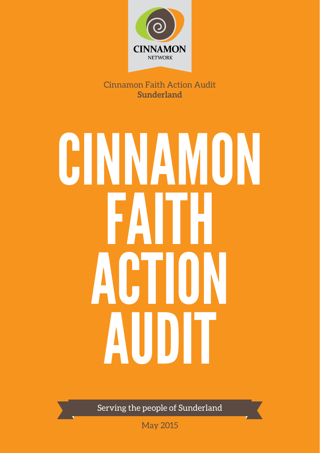

Cinnamon Faith Action Audit **Sunderland**

# CINNAMON Faith ACTION **AUDIT**

Serving the people of Sunderland

May 2015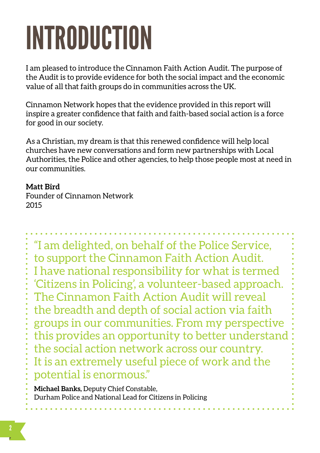# Introduction

I am pleased to introduce the Cinnamon Faith Action Audit. The purpose of the Audit is to provide evidence for both the social impact and the economic value of all that faith groups do in communities across the UK.

Cinnamon Network hopes that the evidence provided in this report will inspire a greater confidence that faith and faith-based social action is a force for good in our society.

As a Christian, my dream is that this renewed confidence will help local churches have new conversations and form new partnerships with Local Authorities, the Police and other agencies, to help those people most at need in our communities.

### **Matt Bird**

Founder of Cinnamon Network 2015

"I am delighted, on behalf of the Police Service, to support the Cinnamon Faith Action Audit. I have national responsibility for what is termed 'Citizens in Policing', a volunteer-based approach. The Cinnamon Faith Action Audit will reveal the breadth and depth of social action via faith groups in our communities. From my perspective this provides an opportunity to better understand the social action network across our country. It is an extremely useful piece of work and the potential is enormous."

**Michael Banks,** Deputy Chief Constable, Durham Police and National Lead for Citizens in Policing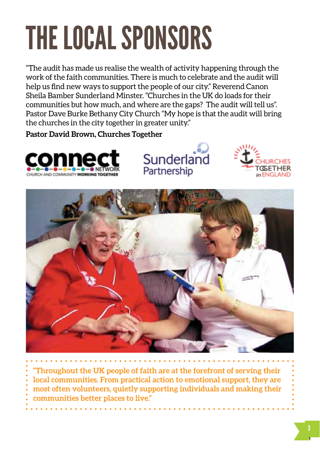# The local sponsors

"The audit has made us realise the wealth of activity happening through the work of the faith communities. There is much to celebrate and the audit will help us find new ways to support the people of our city." Reverend Canon Sheila Bamber Sunderland Minster. "Churches in the UK do loads for their communities but how much, and where are the gaps? The audit will tell us". Pastor Dave Burke Bethany City Church "My hope is that the audit will bring the churches in the city together in greater unity."

> Sunderland Partnership

**Pastor David Brown, Churches Together**





**"Throughout the UK people of faith are at the forefront of serving their local communities. From practical action to emotional support, they are most often volunteers, quietly supporting individuals and making their communities better places to live."**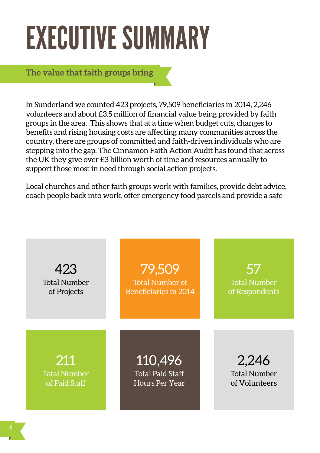### **EXECUTIVE SUMMARY**

**The value that faith groups bring**

In Sunderland we counted 423 projects, 79,509 beneficiaries in 2014, 2,246 volunteers and about £3.5 million of financial value being provided by faith groups in the area. This shows that at a time when budget cuts, changes to benefits and rising housing costs are affecting many communities across the country, there are groups of committed and faith-driven individuals who are stepping into the gap. The Cinnamon Faith Action Audit has found that across the UK they give over £3 billion worth of time and resources annually to support those most in need through social action projects.

Local churches and other faith groups work with families, provide debt advice, coach people back into work, offer emergency food parcels and provide a safe

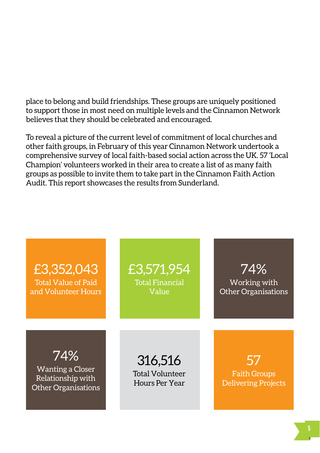place to belong and build friendships. These groups are uniquely positioned to support those in most need on multiple levels and the Cinnamon Network believes that they should be celebrated and encouraged.

To reveal a picture of the current level of commitment of local churches and other faith groups, in February of this year Cinnamon Network undertook a comprehensive survey of local faith-based social action across the UK. 57 'Local Champion' volunteers worked in their area to create a list of as many faith groups as possible to invite them to take part in the Cinnamon Faith Action Audit. This report showcases the results from Sunderland.

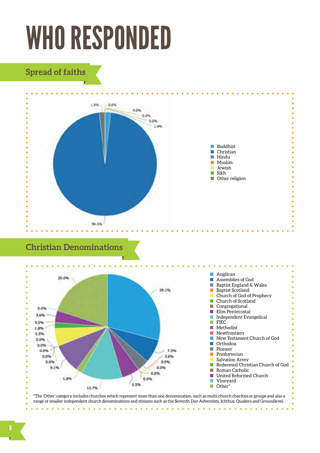### **WHO RESPONDED**

### **Spread of faiths**



### **Christian Denominations**



\*The 'Other' category includes churches which represent more than one denomination, such as multi-church charities or groups and also a range of smaller independent church denominations and streams such as the Seventh Day Adventists, Ichthus, Quakers and Groundlevel.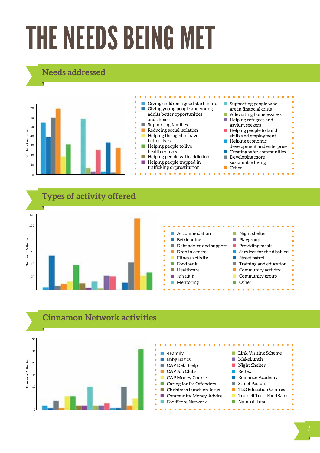## The needs being met

### **Needs addressed**







#### 7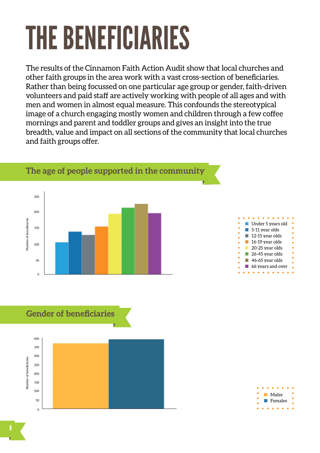## The beneficiaries

The results of the Cinnamon Faith Action Audit show that local churches and other faith groups in the area work with a vast cross-section of beneficiaries. Rather than being focussed on one particular age group or gender, faith-driven volunteers and paid staff are actively working with people of all ages and with men and women in almost equal measure. This confounds the stereotypical image of a church engaging mostly women and children through a few coffee mornings and parent and toddler groups and gives an insight into the true breadth, value and impact on all sections of the community that local churches and faith groups offer.





 $\overline{c}$ 50

150

100

200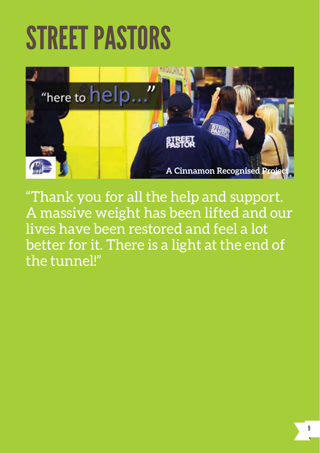### Street PastorS



"Thank you for all the help and support. A massive weight has been lifted and our lives have been restored and feel a lot better for it. There is a light at the end of the tunnel!"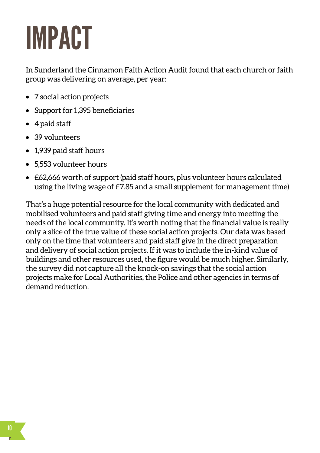## Impact

In Sunderland the Cinnamon Faith Action Audit found that each church or faith group was delivering on average, per year:

- 7 social action projects
- Support for 1,395 beneficiaries
- 4 paid staff
- 39 volunteers
- 1,939 paid staff hours
- 5,553 volunteer hours
- £62,666 worth of support (paid staff hours, plus volunteer hours calculated using the living wage of £7.85 and a small supplement for management time)

That's a huge potential resource for the local community with dedicated and mobilised volunteers and paid staff giving time and energy into meeting the needs of the local community. It's worth noting that the financial value is really only a slice of the true value of these social action projects. Our data was based only on the time that volunteers and paid staff give in the direct preparation and delivery of social action projects. If it was to include the in-kind value of buildings and other resources used, the figure would be much higher. Similarly, the survey did not capture all the knock-on savings that the social action projects make for Local Authorities, the Police and other agencies in terms of demand reduction.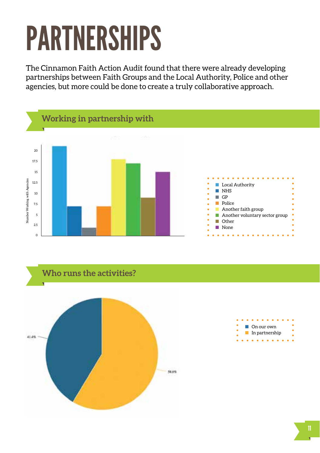# Partnerships

The Cinnamon Faith Action Audit found that there were already developing partnerships between Faith Groups and the Local Authority, Police and other agencies, but more could be done to create a truly collaborative approach.





| On our own     |  |
|----------------|--|
| In partnership |  |
|                |  |
| - -            |  |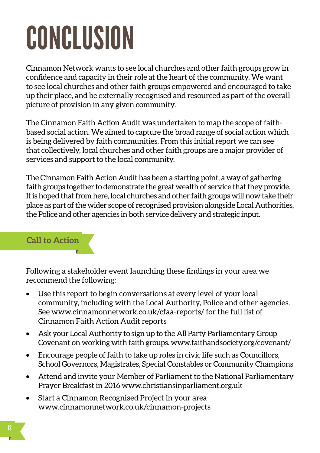# Conclusion

Cinnamon Network wants to see local churches and other faith groups grow in confidence and capacity in their role at the heart of the community. We want to see local churches and other faith groups empowered and encouraged to take up their place, and be externally recognised and resourced as part of the overall picture of provision in any given community.

The Cinnamon Faith Action Audit was undertaken to map the scope of faithbased social action. We aimed to capture the broad range of social action which is being delivered by faith communities. From this initial report we can see that collectively, local churches and other faith groups are a major provider of services and support to the local community.

The Cinnamon Faith Action Audit has been a starting point, a way of gathering faith groups together to demonstrate the great wealth of service that they provide. It is hoped that from here, local churches and other faith groups will now take their place as part of the wider scope of recognised provision alongside Local Authorities, the Police and other agencies in both service delivery and strategic input.

### **Call to Action**

Following a stakeholder event launching these findings in your area we recommend the following:

- Use this report to begin conversations at every level of your local community, including with the Local Authority, Police and other agencies. See www.cinnamonnetwork.co.uk/cfaa-reports/ for the full list of Cinnamon Faith Action Audit reports
- Ask your Local Authority to sign up to the All Party Parliamentary Group Covenant on working with faith groups. www.faithandsociety.org/covenant/
- Encourage people of faith to take up roles in civic life such as Councillors, School Governors, Magistrates, Special Constables or Community Champions
- Attend and invite your Member of Parliament to the National Parliamentary Prayer Breakfast in 2016 www.christiansinparliament.org.uk
- Start a Cinnamon Recognised Project in your area www.cinnamonnetwork.co.uk/cinnamon-projects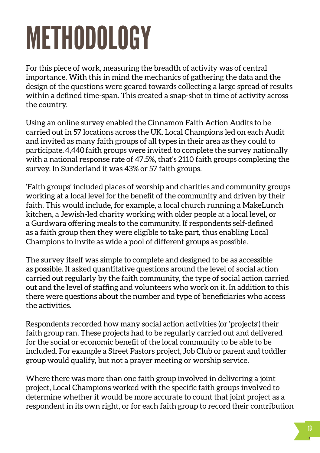# **METHODOLOGY**

For this piece of work, measuring the breadth of activity was of central importance. With this in mind the mechanics of gathering the data and the design of the questions were geared towards collecting a large spread of results within a defined time-span. This created a snap-shot in time of activity across the country.

Using an online survey enabled the Cinnamon Faith Action Audits to be carried out in 57 locations across the UK. Local Champions led on each Audit and invited as many faith groups of all types in their area as they could to participate. 4,440 faith groups were invited to complete the survey nationally with a national response rate of 47.5%, that's 2110 faith groups completing the survey. In Sunderland it was 43% or 57 faith groups.

'Faith groups' included places of worship and charities and community groups working at a local level for the benefit of the community and driven by their faith. This would include, for example, a local church running a MakeLunch kitchen, a Jewish-led charity working with older people at a local level, or a Gurdwara offering meals to the community. If respondents self-defined as a faith group then they were eligible to take part, thus enabling Local Champions to invite as wide a pool of different groups as possible.

The survey itself was simple to complete and designed to be as accessible as possible. It asked quantitative questions around the level of social action carried out regularly by the faith community, the type of social action carried out and the level of staffing and volunteers who work on it. In addition to this there were questions about the number and type of beneficiaries who access the activities.

Respondents recorded how many social action activities (or 'projects') their faith group ran. These projects had to be regularly carried out and delivered for the social or economic benefit of the local community to be able to be included. For example a Street Pastors project, Job Club or parent and toddler group would qualify, but not a prayer meeting or worship service.

Where there was more than one faith group involved in delivering a joint project, Local Champions worked with the specific faith groups involved to determine whether it would be more accurate to count that joint project as a respondent in its own right, or for each faith group to record their contribution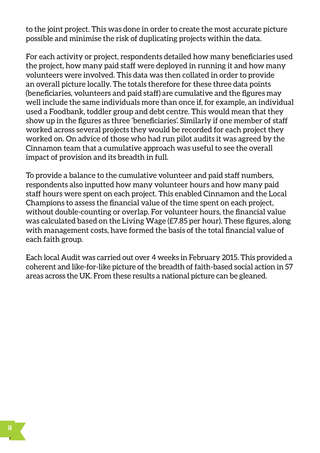to the joint project. This was done in order to create the most accurate picture possible and minimise the risk of duplicating projects within the data.

For each activity or project, respondents detailed how many beneficiaries used the project, how many paid staff were deployed in running it and how many volunteers were involved. This data was then collated in order to provide an overall picture locally. The totals therefore for these three data points (beneficiaries, volunteers and paid staff) are cumulative and the figures may well include the same individuals more than once if, for example, an individual used a Foodbank, toddler group and debt centre. This would mean that they show up in the figures as three 'beneficiaries'. Similarly if one member of staff worked across several projects they would be recorded for each project they worked on. On advice of those who had run pilot audits it was agreed by the Cinnamon team that a cumulative approach was useful to see the overall impact of provision and its breadth in full.

To provide a balance to the cumulative volunteer and paid staff numbers, respondents also inputted how many volunteer hours and how many paid staff hours were spent on each project. This enabled Cinnamon and the Local Champions to assess the financial value of the time spent on each project, without double-counting or overlap. For volunteer hours, the financial value was calculated based on the Living Wage (£7.85 per hour). These figures, along with management costs, have formed the basis of the total financial value of each faith group.

Each local Audit was carried out over 4 weeks in February 2015. This provided a coherent and like-for-like picture of the breadth of faith-based social action in 57 areas across the UK. From these results a national picture can be gleaned.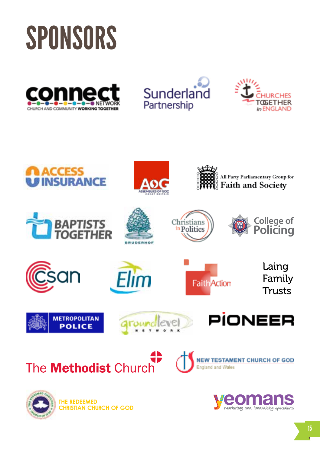### **SPONSORS**













**The Redeemed Christian Church Of God**